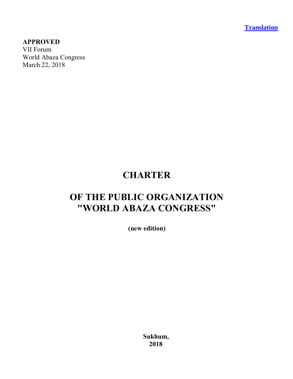**Translation**

#### **APPROVED**

VII Forum World Abaza Congress March 22, 2018

## **CHARTER**

# **OF THE PUBLIC ORGANIZATION "WORLD ABAZA CONGRESS"**

**(new edition)**

**Sukhum, 2018**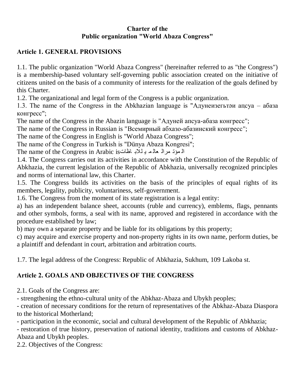#### **Charter of the Public organization "World Abaza Congress"**

#### **Article 1. GENERAL PROVISIONS**

1.1. The public organization "World Abaza Congress" (hereinafter referred to as "the Congress") is a membership-based voluntary self-governing public association created on the initiative of citizens united on the basis of a community of interests for the realization of the goals defined by this Charter.

1.2. The organizational and legal form of the Congress is a public organization.

1.3. The name of the Congress in the Abkhazian language is "Адунеизегьтәи апсуа – абаза конгресс";

The name of the Congress in the Abazin language is "Адуней апсуа-абаза конгресс";

The name of the Congress in Russian is "Всемирный абхазо-абазинский конгресс";

The name of the Congress in English is "World Abaza Congress";

The name of the Congress in Turkish is "Dünya Abaza Kongresi";

ال مَوْدْ مرال عالم بـ للآبـ اظاتIs The name of the Congress in Arabic is

1.4. The Congress carries out its activities in accordance with the Constitution of the Republic of Abkhazia, the current legislation of the Republic of Abkhazia, universally recognized principles and norms of international law, this Charter.

1.5. The Congress builds its activities on the basis of the principles of equal rights of its members, legality, publicity, voluntariness, self-government.

1.6. The Congress from the moment of its state registration is a legal entity:

a) has an independent balance sheet, accounts (ruble and currency), emblems, flags, pennants and other symbols, forms, a seal with its name, approved and registered in accordance with the procedure established by law;

b) may own a separate property and be liable for its obligations by this property;

c) may acquire and exercise property and non-property rights in its own name, perform duties, be a plaintiff and defendant in court, arbitration and arbitration courts.

1.7. The legal address of the Congress: Republic of Abkhazia, Sukhum, 109 Lakoba st.

## **Article 2. GOALS AND OBJECTIVES OF THE CONGRESS**

2.1. Goals of the Congress are:

- strengthening the ethno-cultural unity of the Abkhaz-Abaza and Ubykh peoples;

- creation of necessary conditions for the return of representatives of the Abkhaz-Abaza Diaspora to the historical Motherland;

- participation in the economic, social and cultural development of the Republic of Abkhazia;

- restoration of true history, preservation of national identity, traditions and customs of Abkhaz-Abaza and Ubykh peoples.

2.2. Objectives of the Congress: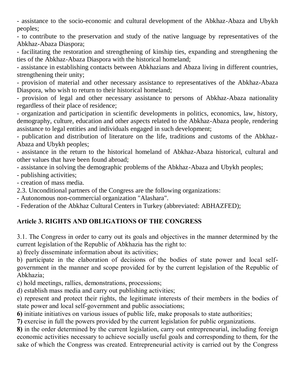- assistance to the socio-economic and cultural development of the Abkhaz-Abaza and Ubykh peoples;

- to contribute to the preservation and study of the native language by representatives of the Abkhaz-Abaza Diaspora;

- facilitating the restoration and strengthening of kinship ties, expanding and strengthening the ties of the Abkhaz-Abaza Diaspora with the historical homeland;

- assistance in establishing contacts between Abkhazians and Abaza living in different countries, strengthening their unity;

- provision of material and other necessary assistance to representatives of the Abkhaz-Abaza Diaspora, who wish to return to their historical homeland;

- provision of legal and other necessary assistance to persons of Abkhaz-Abaza nationality regardless of their place of residence;

- organization and participation in scientific developments in politics, economics, law, history, demography, culture, education and other aspects related to the Abkhaz-Abaza people, rendering assistance to legal entities and individuals engaged in such development;

- publication and distribution of literature on the life, traditions and customs of the Abkhaz-Abaza and Ubykh peoples;

- assistance in the return to the historical homeland of Abkhaz-Abaza historical, cultural and other values that have been found abroad;

- assistance in solving the demographic problems of the Abkhaz-Abaza and Ubykh peoples;

- publishing activities;

- creation of mass media.

2.3. Unconditional partners of the Congress are the following organizations:

- Autonomous non-commercial organization "Alashara".

- Federation of the Abkhaz Cultural Centers in Turkey (abbreviated: ABHAZFED);

#### **Article 3. RIGHTS AND OBLIGATIONS OF THE CONGRESS**

3.1. The Congress in order to carry out its goals and objectives in the manner determined by the current legislation of the Republic of Abkhazia has the right to:

a) freely disseminate information about its activities;

b) participate in the elaboration of decisions of the bodies of state power and local selfgovernment in the manner and scope provided for by the current legislation of the Republic of Abkhazia;

c) hold meetings, rallies, demonstrations, processions;

d) establish mass media and carry out publishing activities;

e) represent and protect their rights, the legitimate interests of their members in the bodies of state power and local self-government and public associations;

**6)** initiate initiatives on various issues of public life, make proposals to state authorities;

**7)** exercise in full the powers provided by the current legislation for public organizations.

**8)** in the order determined by the current legislation, carry out entrepreneurial, including foreign economic activities necessary to achieve socially useful goals and corresponding to them, for the sake of which the Congress was created. Entrepreneurial activity is carried out by the Congress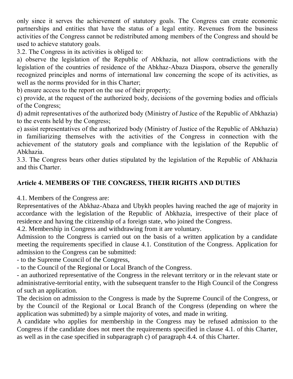only since it serves the achievement of statutory goals. The Congress can create economic partnerships and entities that have the status of a legal entity. Revenues from the business activities of the Congress cannot be redistributed among members of the Congress and should be used to achieve statutory goals.

3.2. The Congress in its activities is obliged to:

a) observe the legislation of the Republic of Abkhazia, not allow contradictions with the legislation of the countries of residence of the Abkhaz-Abaza Diaspora, observe the generally recognized principles and norms of international law concerning the scope of its activities, as well as the norms provided for in this Charter;

b) ensure access to the report on the use of their property;

c) provide, at the request of the authorized body, decisions of the governing bodies and officials of the Congress;

d) admit representatives of the authorized body (Ministry of Justice of the Republic of Abkhazia) to the events held by the Congress;

e) assist representatives of the authorized body (Ministry of Justice of the Republic of Abkhazia) in familiarizing themselves with the activities of the Congress in connection with the achievement of the statutory goals and compliance with the legislation of the Republic of Abkhazia.

3.3. The Congress bears other duties stipulated by the legislation of the Republic of Abkhazia and this Charter.

## **Article 4. MEMBERS OF THE CONGRESS, THEIR RIGHTS AND DUTIES**

4.1. Members of the Congress are:

Representatives of the Abkhaz-Abaza and Ubykh peoples having reached the age of majority in accordance with the legislation of the Republic of Abkhazia, irrespective of their place of residence and having the citizenship of a foreign state, who joined the Congress.

4.2. Membership in Congress and withdrawing from it are voluntary.

Admission to the Congress is carried out on the basis of a written application by a candidate meeting the requirements specified in clause 4.1. Constitution of the Congress. Application for admission to the Congress can be submitted:

- to the Supreme Council of the Congress,

- to the Council of the Regional or Local Branch of the Congress.

- an authorized representative of the Congress in the relevant territory or in the relevant state or administrative-territorial entity, with the subsequent transfer to the High Council of the Congress of such an application.

The decision on admission to the Congress is made by the Supreme Council of the Congress, or by the Council of the Regional or Local Branch of the Congress (depending on where the application was submitted) by a simple majority of votes, and made in writing.

A candidate who applies for membership in the Congress may be refused admission to the Congress if the candidate does not meet the requirements specified in clause 4.1. of this Charter, as well as in the case specified in subparagraph c) of paragraph 4.4. of this Charter.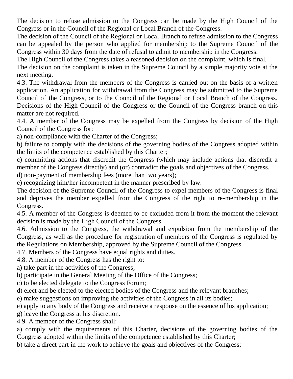The decision to refuse admission to the Congress can be made by the High Council of the Congress or in the Council of the Regional or Local Branch of the Congress.

The decision of the Council of the Regional or Local Branch to refuse admission to the Congress can be appealed by the person who applied for membership to the Supreme Council of the Congress within 30 days from the date of refusal to admit to membership in the Congress.

The High Council of the Congress takes a reasoned decision on the complaint, which is final.

The decision on the complaint is taken in the Supreme Council by a simple majority vote at the next meeting.

4.3. The withdrawal from the members of the Congress is carried out on the basis of a written application. An application for withdrawal from the Congress may be submitted to the Supreme Council of the Congress, or to the Council of the Regional or Local Branch of the Congress. Decisions of the High Council of the Congress or the Council of the Congress branch on this matter are not required.

4.4. A member of the Congress may be expelled from the Congress by decision of the High Council of the Congress for:

a) non-compliance with the Charter of the Congress;

b) failure to comply with the decisions of the governing bodies of the Congress adopted within the limits of the competence established by this Charter;

c) committing actions that discredit the Congress (which may include actions that discredit a member of the Congress directly) and (or) contradict the goals and objectives of the Congress.

d) non-payment of membership fees (more than two years);

e) recognizing him/her incompetent in the manner prescribed by law.

The decision of the Supreme Council of the Congress to expel members of the Congress is final and deprives the member expelled from the Congress of the right to re-membership in the Congress.

4.5. A member of the Congress is deemed to be excluded from it from the moment the relevant decision is made by the High Council of the Congress.

4.6. Admission to the Congress, the withdrawal and expulsion from the membership of the Congress, as well as the procedure for registration of members of the Congress is regulated by the Regulations on Membership, approved by the Supreme Council of the Congress.

4.7. Members of the Congress have equal rights and duties.

4.8. A member of the Congress has the right to:

a) take part in the activities of the Congress;

b) participate in the General Meeting of the Office of the Congress;

c) to be elected delegate to the Congress Forum;

d) elect and be elected to the elected bodies of the Congress and the relevant branches;

e) make suggestions on improving the activities of the Congress in all its bodies;

e) apply to any body of the Congress and receive a response on the essence of his application;

g) leave the Congress at his discretion.

4.9. A member of the Congress shall:

a) comply with the requirements of this Charter, decisions of the governing bodies of the Congress adopted within the limits of the competence established by this Charter;

b) take a direct part in the work to achieve the goals and objectives of the Congress;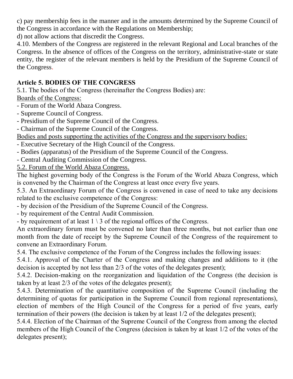c) pay membership fees in the manner and in the amounts determined by the Supreme Council of the Congress in accordance with the Regulations on Membership;

d) not allow actions that discredit the Congress.

4.10. Members of the Congress are registered in the relevant Regional and Local branches of the Congress. In the absence of offices of the Congress on the territory, administrative-state or state entity, the register of the relevant members is held by the Presidium of the Supreme Council of the Congress.

#### **Article 5. BODIES OF THE CONGRESS**

5.1. The bodies of the Congress (hereinafter the Congress Bodies) are: Boards of the Congress:

- Forum of the World Abaza Congress.

- Supreme Council of Congress.
- Presidium of the Supreme Council of the Congress.
- Chairman of the Supreme Council of the Congress.

Bodies and posts supporting the activities of the Congress and the supervisory bodies:

- Executive Secretary of the High Council of the Congress.
- Bodies (apparatus) of the Presidium of the Supreme Council of the Congress.

- Central Auditing Commission of the Congress.

5.2. Forum of the World Abaza Congress.

The highest governing body of the Congress is the Forum of the World Abaza Congress, which is convened by the Chairman of the Congress at least once every five years.

5.3. An Extraordinary Forum of the Congress is convened in case of need to take any decisions related to the exclusive competence of the Congress:

- by decision of the Presidium of the Supreme Council of the Congress.

- by requirement of the Central Audit Commission.

- by requirement of at least  $1 \setminus 3$  of the regional offices of the Congress.

An extraordinary forum must be convened no later than three months, but not earlier than one month from the date of receipt by the Supreme Council of the Congress of the requirement to convene an Extraordinary Forum.

5.4. The exclusive competence of the Forum of the Congress includes the following issues:

5.4.1. Approval of the Charter of the Congress and making changes and additions to it (the decision is accepted by not less than 2/3 of the votes of the delegates present);

5.4.2. Decision-making on the reorganization and liquidation of the Congress (the decision is taken by at least 2/3 of the votes of the delegates present);

5.4.3. Determination of the quantitative composition of the Supreme Council (including the determining of quotas for participation in the Supreme Council from regional representations), election of members of the High Council of the Congress for a period of five years, early termination of their powers (the decision is taken by at least 1/2 of the delegates present);

5.4.4. Election of the Chairman of the Supreme Council of the Congress from among the elected members of the High Council of the Congress (decision is taken by at least 1/2 of the votes of the delegates present);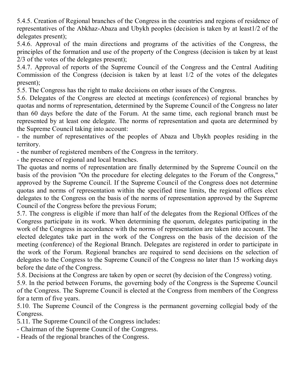5.4.5. Creation of Regional branches of the Congress in the countries and regions of residence of representatives of the Abkhaz-Abaza and Ubykh peoples (decision is taken by at least1/2 of the delegates present);

5.4.6. Approval of the main directions and programs of the activities of the Congress, the principles of the formation and use of the property of the Congress (decision is taken by at least 2/3 of the votes of the delegates present);

5.4.7. Approval of reports of the Supreme Council of the Congress and the Central Auditing Commission of the Congress (decision is taken by at least 1/2 of the votes of the delegates present);

5.5. The Congress has the right to make decisions on other issues of the Congress.

5.6. Delegates of the Congress are elected at meetings (conferences) of regional branches by quotas and norms of representation, determined by the Supreme Council of the Congress no later than 60 days before the date of the Forum. At the same time, each regional branch must be represented by at least one delegate. The norms of representation and quota are determined by the Supreme Council taking into account:

- the number of representatives of the peoples of Abaza and Ubykh peoples residing in the territory.

- the number of registered members of the Congress in the territory.

- the presence of regional and local branches.

The quotas and norms of representation are finally determined by the Supreme Council on the basis of the provision "On the procedure for electing delegates to the Forum of the Congress," approved by the Supreme Council. If the Supreme Council of the Congress does not determine quotas and norms of representation within the specified time limits, the regional offices elect delegates to the Congress on the basis of the norms of representation approved by the Supreme Council of the Congress before the previous Forum;

5.7. The congress is eligible if more than half of the delegates from the Regional Offices of the Congress participate in its work. When determining the quorum, delegates participating in the work of the Congress in accordance with the norms of representation are taken into account. The elected delegates take part in the work of the Congress on the basis of the decision of the meeting (conference) of the Regional Branch. Delegates are registered in order to participate in the work of the Forum. Regional branches are required to send decisions on the selection of delegates to the Congress to the Supreme Council of the Congress no later than 15 working days before the date of the Congress.

5.8. Decisions at the Congress are taken by open or secret (by decision of the Congress) voting.

5.9. In the period between Forums, the governing body of the Congress is the Supreme Council of the Congress. The Supreme Council is elected at the Congress from members of the Congress for a term of five years.

5.10. The Supreme Council of the Congress is the permanent governing collegial body of the Congress.

5.11. The Supreme Council of the Congress includes:

- Chairman of the Supreme Council of the Congress.

- Heads of the regional branches of the Congress.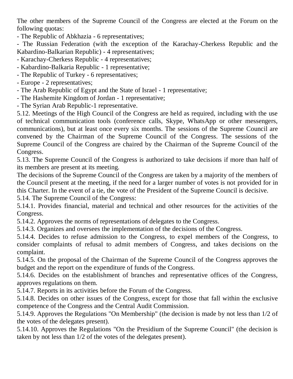The other members of the Supreme Council of the Congress are elected at the Forum on the following quotas:

- The Republic of Abkhazia - 6 representatives;

- The Russian Federation (with the exception of the Karachay-Cherkess Republic and the Kabardino-Balkarian Republic) - 4 representatives;

- Karachay-Cherkess Republic - 4 representatives;

- Kabardino-Balkaria Republic - 1 representative;

- The Republic of Turkey - 6 representatives;

- Europe - 2 representatives;

- The Arab Republic of Egypt and the State of Israel - 1 representative;

- The Hashemite Kingdom of Jordan - 1 representative;

- The Syrian Arab Republic-1 representative.

5.12. Meetings of the High Council of the Congress are held as required, including with the use of technical communication tools (conference calls, Skype, WhatsApp or other messengers, communications), but at least once every six months. The sessions of the Supreme Council are convened by the Chairman of the Supreme Council of the Congress. The sessions of the Supreme Council of the Congress are chaired by the Chairman of the Supreme Council of the Congress.

5.13. The Supreme Council of the Congress is authorized to take decisions if more than half of its members are present at its meeting.

The decisions of the Supreme Council of the Congress are taken by a majority of the members of the Council present at the meeting, if the need for a larger number of votes is not provided for in this Charter. In the event of a tie, the vote of the President of the Supreme Council is decisive.

5.14. The Supreme Council of the Congress:

5.14.1. Provides financial, material and technical and other resources for the activities of the Congress.

5.14.2. Approves the norms of representations of delegates to the Congress.

5.14.3. Organizes and oversees the implementation of the decisions of the Congress.

5.14.4. Decides to refuse admission to the Congress, to expel members of the Congress, to consider complaints of refusal to admit members of Congress, and takes decisions on the complaint.

5.14.5. On the proposal of the Chairman of the Supreme Council of the Congress approves the budget and the report on the expenditure of funds of the Congress.

5.14.6. Decides on the establishment of branches and representative offices of the Congress, approves regulations on them.

5.14.7. Reports in its activities before the Forum of the Congress.

5.14.8. Decides on other issues of the Congress, except for those that fall within the exclusive competence of the Congress and the Central Audit Commission.

5.14.9. Approves the Regulations "On Membership" (the decision is made by not less than 1/2 of the votes of the delegates present).

5.14.10. Approves the Regulations "On the Presidium of the Supreme Council" (the decision is taken by not less than 1/2 of the votes of the delegates present).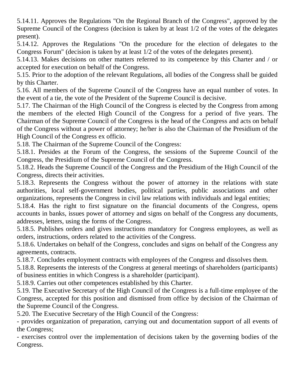5.14.11. Approves the Regulations "On the Regional Branch of the Congress", approved by the Supreme Council of the Congress (decision is taken by at least 1/2 of the votes of the delegates present).

5.14.12. Approves the Regulations "On the procedure for the election of delegates to the Congress Forum" (decision is taken by at least 1/2 of the votes of the delegates present).

5.14.13. Makes decisions on other matters referred to its competence by this Charter and / or accepted for execution on behalf of the Congress.

5.15. Prior to the adoption of the relevant Regulations, all bodies of the Congress shall be guided by this Charter.

5.16. All members of the Supreme Council of the Congress have an equal number of votes. In the event of a tie, the vote of the President of the Supreme Council is decisive.

5.17. The Chairman of the High Council of the Congress is elected by the Congress from among the members of the elected High Council of the Congress for a period of five years. The Chairman of the Supreme Council of the Congress is the head of the Congress and acts on behalf of the Congress without a power of attorney; he/her is also the Chairman of the Presidium of the High Council of the Congress ex officio.

5.18. The Chairman of the Supreme Council of the Congress:

5.18.1. Presides at the Forum of the Congress, the sessions of the Supreme Council of the Congress, the Presidium of the Supreme Council of the Congress.

5.18.2. Heads the Supreme Council of the Congress and the Presidium of the High Council of the Congress, directs their activities.

5.18.3. Represents the Congress without the power of attorney in the relations with state authorities, local self-government bodies, political parties, public associations and other organizations, represents the Congress in civil law relations with individuals and legal entities;

5.18.4. Has the right to first signature on the financial documents of the Congress, opens accounts in banks, issues power of attorney and signs on behalf of the Congress any documents, addresses, letters, using the forms of the Congress.

5.18.5. Publishes orders and gives instructions mandatory for Congress employees, as well as orders, instructions, orders related to the activities of the Congress.

5.18.6. Undertakes on behalf of the Congress, concludes and signs on behalf of the Congress any agreements, contracts.

5.18.7. Concludes employment contracts with employees of the Congress and dissolves them.

5.18.8. Represents the interests of the Congress at general meetings of shareholders (participants) of business entities in which Congress is a shareholder (participant).

5.18.9. Carries out other competences established by this Charter.

5.19. The Executive Secretary of the High Council of the Congress is a full-time employee of the Congress, accepted for this position and dismissed from office by decision of the Chairman of the Supreme Council of the Congress.

5.20. The Executive Secretary of the High Council of the Congress:

- provides organization of preparation, carrying out and documentation support of all events of the Congress;

- exercises control over the implementation of decisions taken by the governing bodies of the Congress.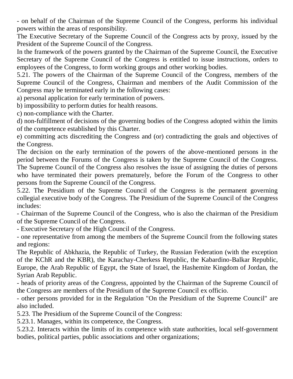- on behalf of the Chairman of the Supreme Council of the Congress, performs his individual powers within the areas of responsibility.

The Executive Secretary of the Supreme Council of the Congress acts by proxy, issued by the President of the Supreme Council of the Congress.

In the framework of the powers granted by the Chairman of the Supreme Council, the Executive Secretary of the Supreme Council of the Congress is entitled to issue instructions, orders to employees of the Congress, to form working groups and other working bodies.

5.21. The powers of the Chairman of the Supreme Council of the Congress, members of the Supreme Council of the Congress, Chairman and members of the Audit Commission of the Congress may be terminated early in the following cases:

a) personal application for early termination of powers.

b) impossibility to perform duties for health reasons.

c) non-compliance with the Charter.

d) non-fulfillment of decisions of the governing bodies of the Congress adopted within the limits of the competence established by this Charter.

e) committing acts discrediting the Congress and (or) contradicting the goals and objectives of the Congress.

The decision on the early termination of the powers of the above-mentioned persons in the period between the Forums of the Congress is taken by the Supreme Council of the Congress. The Supreme Council of the Congress also resolves the issue of assigning the duties of persons who have terminated their powers prematurely, before the Forum of the Congress to other persons from the Supreme Council of the Congress.

5.22. The Presidium of the Supreme Council of the Congress is the permanent governing collegial executive body of the Congress. The Presidium of the Supreme Council of the Congress includes:

- Chairman of the Supreme Council of the Congress, who is also the chairman of the Presidium of the Supreme Council of the Congress.

- Executive Secretary of the High Council of the Congress.

- one representative from among the members of the Supreme Council from the following states and regions:

The Republic of Abkhazia, the Republic of Turkey, the Russian Federation (with the exception of the KChR and the KBR), the Karachay-Cherkess Republic, the Kabardino-Balkar Republic, Europe, the Arab Republic of Egypt, the State of Israel, the Hashemite Kingdom of Jordan, the Syrian Arab Republic.

- heads of priority areas of the Congress, appointed by the Chairman of the Supreme Council of the Congress are members of the Presidium of the Supreme Council ex officio.

- other persons provided for in the Regulation "On the Presidium of the Supreme Council" are also included.

5.23. The Presidium of the Supreme Council of the Congress:

5.23.1. Manages, within its competence, the Congress.

5.23.2. Interacts within the limits of its competence with state authorities, local self-government bodies, political parties, public associations and other organizations;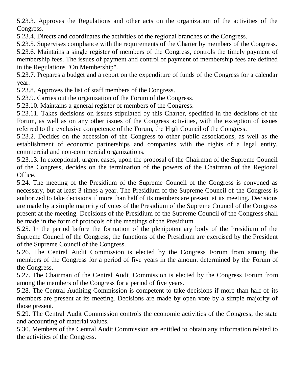5.23.3. Approves the Regulations and other acts on the organization of the activities of the Congress.

5.23.4. Directs and coordinates the activities of the regional branches of the Congress.

5.23.5. Supervises compliance with the requirements of the Charter by members of the Congress.

5.23.6. Maintains a single register of members of the Congress, controls the timely payment of membership fees. The issues of payment and control of payment of membership fees are defined in the Regulations "On Membership".

5.23.7. Prepares a budget and a report on the expenditure of funds of the Congress for a calendar year.

5.23.8. Approves the list of staff members of the Congress.

5.23.9. Carries out the organization of the Forum of the Congress.

5.23.10. Maintains a general register of members of the Congress.

5.23.11. Takes decisions on issues stipulated by this Charter, specified in the decisions of the Forum, as well as on any other issues of the Congress activities, with the exception of issues referred to the exclusive competence of the Forum, the High Council of the Congress.

5.23.2. Decides on the accession of the Congress to other public associations, as well as the establishment of economic partnerships and companies with the rights of a legal entity, commercial and non-commercial organizations.

5.23.13. In exceptional, urgent cases, upon the proposal of the Chairman of the Supreme Council of the Congress, decides on the termination of the powers of the Chairman of the Regional Office.

5.24. The meeting of the Presidium of the Supreme Council of the Congress is convened as necessary, but at least 3 times a year. The Presidium of the Supreme Council of the Congress is authorized to take decisions if more than half of its members are present at its meeting. Decisions are made by a simple majority of votes of the Presidium of the Supreme Council of the Congress present at the meeting. Decisions of the Presidium of the Supreme Council of the Congress shall be made in the form of protocols of the meetings of the Presidium.

5.25. In the period before the formation of the plenipotentiary body of the Presidium of the Supreme Council of the Congress, the functions of the Presidium are exercised by the President of the Supreme Council of the Congress.

5.26. The Central Audit Commission is elected by the Congress Forum from among the members of the Congress for a period of five years in the amount determined by the Forum of the Congress.

5.27. The Chairman of the Central Audit Commission is elected by the Congress Forum from among the members of the Congress for a period of five years.

5.28. The Central Auditing Commission is competent to take decisions if more than half of its members are present at its meeting. Decisions are made by open vote by a simple majority of those present.

5.29. The Central Audit Commission controls the economic activities of the Congress, the state and accounting of material values.

5.30. Members of the Central Audit Commission are entitled to obtain any information related to the activities of the Congress.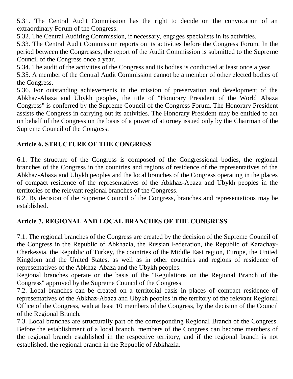5.31. The Central Audit Commission has the right to decide on the convocation of an extraordinary Forum of the Congress.

5.32. The Central Auditing Commission, if necessary, engages specialists in its activities.

5.33. The Central Audit Commission reports on its activities before the Congress Forum. In the period between the Congresses, the report of the Audit Commission is submitted to the Supreme Council of the Congress once a year.

5.34. The audit of the activities of the Congress and its bodies is conducted at least once a year.

5.35. A member of the Central Audit Commission cannot be a member of other elected bodies of the Congress.

5.36. For outstanding achievements in the mission of preservation and development of the Abkhaz-Abaza and Ubykh peoples, the title of "Honorary President of the World Abaza Congress" is conferred by the Supreme Council of the Congress Forum. The Honorary President assists the Congress in carrying out its activities. The Honorary President may be entitled to act on behalf of the Congress on the basis of a power of attorney issued only by the Chairman of the Supreme Council of the Congress.

## **Article 6. STRUCTURE OF THE CONGRESS**

6.1. The structure of the Congress is composed of the Congressional bodies, the regional branches of the Congress in the countries and regions of residence of the representatives of the Abkhaz-Abaza and Ubykh peoples and the local branches of the Congress operating in the places of compact residence of the representatives of the Abkhaz-Abaza and Ubykh peoples in the territories of the relevant regional branches of the Congress.

6.2. By decision of the Supreme Council of the Congress, branches and representations may be established.

#### **Article 7. REGIONAL AND LOCAL BRANCHES OF THE CONGRESS**

7.1. The regional branches of the Congress are created by the decision of the Supreme Council of the Congress in the Republic of Abkhazia, the Russian Federation, the Republic of Karachay-Cherkessia, the Republic of Turkey, the countries of the Middle East region, Europe, the United Kingdom and the United States, as well as in other countries and regions of residence of representatives of the Abkhaz-Abaza and the Ubykh peoples.

Regional branches operate on the basis of the "Regulations on the Regional Branch of the Congress" approved by the Supreme Council of the Congress.

7.2. Local branches can be created on a territorial basis in places of compact residence of representatives of the Abkhaz-Abaza and Ubykh peoples in the territory of the relevant Regional Office of the Congress, with at least 10 members of the Congress, by the decision of the Council of the Regional Branch.

7.3. Local branches are structurally part of the corresponding Regional Branch of the Congress. Before the establishment of a local branch, members of the Congress can become members of the regional branch established in the respective territory, and if the regional branch is not established, the regional branch in the Republic of Abkhazia.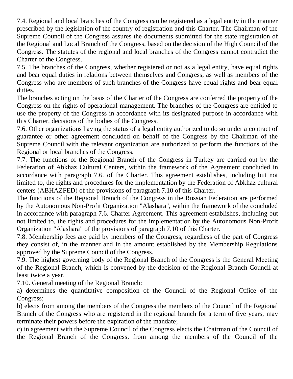7.4. Regional and local branches of the Congress can be registered as a legal entity in the manner prescribed by the legislation of the country of registration and this Charter. The Chairman of the Supreme Council of the Congress assures the documents submitted for the state registration of the Regional and Local Branch of the Congress, based on the decision of the High Council of the Congress. The statutes of the regional and local branches of the Congress cannot contradict the Charter of the Congress.

7.5. The branches of the Congress, whether registered or not as a legal entity, have equal rights and bear equal duties in relations between themselves and Congress, as well as members of the Congress who are members of such branches of the Congress have equal rights and bear equal duties.

The branches acting on the basis of the Charter of the Congress are conferred the property of the Congress on the rights of operational management. The branches of the Congress are entitled to use the property of the Congress in accordance with its designated purpose in accordance with this Charter, decisions of the bodies of the Congress.

7.6. Other organizations having the status of a legal entity authorized to do so under a contract of guarantee or other agreement concluded on behalf of the Congress by the Chairman of the Supreme Council with the relevant organization are authorized to perform the functions of the Regional or local branches of the Congress.

7.7. The functions of the Regional Branch of the Congress in Turkey are carried out by the Federation of Abkhaz Cultural Centers, within the framework of the Agreement concluded in accordance with paragraph 7.6. of the Charter. This agreement establishes, including but not limited to, the rights and procedures for the implementation by the Federation of Abkhaz cultural centers (ABHAZFED) of the provisions of paragraph 7.10 of this Charter.

The functions of the Regional Branch of the Congress in the Russian Federation are performed by the Autonomous Non-Profit Organization "Alashara", within the framework of the concluded in accordance with paragraph 7.6. Charter Agreement. This agreement establishes, including but not limited to, the rights and procedures for the implementation by the Autonomous Non-Profit Organization "Alashara" of the provisions of paragraph 7.10 of this Charter.

7.8. Membership fees are paid by members of the Congress, regardless of the part of Congress they consist of, in the manner and in the amount established by the Membership Regulations approved by the Supreme Council of the Congress.

7.9. The highest governing body of the Regional Branch of the Congress is the General Meeting of the Regional Branch, which is convened by the decision of the Regional Branch Council at least twice a year.

7.10. General meeting of the Regional Branch:

a) determines the quantitative composition of the Council of the Regional Office of the Congress;

b) elects from among the members of the Congress the members of the Council of the Regional Branch of the Congress who are registered in the regional branch for a term of five years, may terminate their powers before the expiration of the mandate;

c) in agreement with the Supreme Council of the Congress elects the Chairman of the Council of the Regional Branch of the Congress, from among the members of the Council of the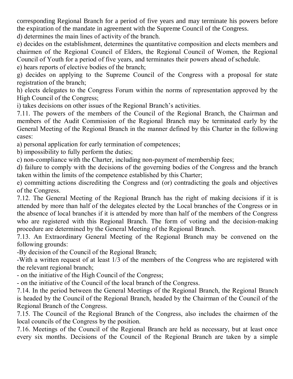corresponding Regional Branch for a period of five years and may terminate his powers before the expiration of the mandate in agreement with the Supreme Council of the Congress.

d) determines the main lines of activity of the branch.

e) decides on the establishment, determines the quantitative composition and elects members and chairmen of the Regional Council of Elders, the Regional Council of Women, the Regional Council of Youth for a period of five years, and terminates their powers ahead of schedule.

e) hears reports of elective bodies of the branch;

g) decides on applying to the Supreme Council of the Congress with a proposal for state registration of the branch;

h) elects delegates to the Congress Forum within the norms of representation approved by the High Council of the Congress;

i) takes decisions on other issues of the Regional Branch's activities.

7.11. The powers of the members of the Council of the Regional Branch, the Chairman and members of the Audit Commission of the Regional Branch may be terminated early by the General Meeting of the Regional Branch in the manner defined by this Charter in the following cases:

a) personal application for early termination of competences;

b) impossibility to fully perform the duties;

c) non-compliance with the Charter, including non-payment of membership fees;

d) failure to comply with the decisions of the governing bodies of the Congress and the branch taken within the limits of the competence established by this Charter;

e) committing actions discrediting the Congress and (or) contradicting the goals and objectives of the Congress.

7.12. The General Meeting of the Regional Branch has the right of making decisions if it is attended by more than half of the delegates elected by the Local branches of the Congress or in the absence of local branches if it is attended by more than half of the members of the Congress who are registered with this Regional Branch. The form of voting and the decision-making procedure are determined by the General Meeting of the Regional Branch.

7.13. An Extraordinary General Meeting of the Regional Branch may be convened on the following grounds:

-By decision of the Council of the Regional Branch;

-With a written request of at least 1/3 of the members of the Congress who are registered with the relevant regional branch;

- on the initiative of the High Council of the Congress;

- on the initiative of the Council of the local branch of the Congress.

7.14. In the period between the General Meetings of the Regional Branch, the Regional Branch is headed by the Council of the Regional Branch, headed by the Chairman of the Council of the Regional Branch of the Congress.

7.15. The Council of the Regional Branch of the Congress, also includes the chairmen of the local councils of the Congress by the position.

7.16. Meetings of the Council of the Regional Branch are held as necessary, but at least once every six months. Decisions of the Council of the Regional Branch are taken by a simple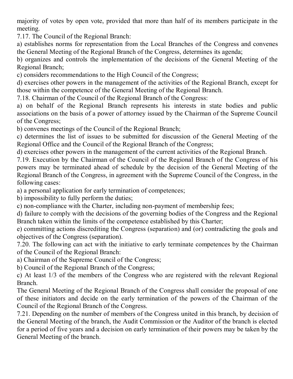majority of votes by open vote, provided that more than half of its members participate in the meeting.

7.17. The Council of the Regional Branch:

a) establishes norms for representation from the Local Branches of the Congress and convenes the General Meeting of the Regional Branch of the Congress, determines its agenda;

b) organizes and controls the implementation of the decisions of the General Meeting of the Regional Branch;

c) considers recommendations to the High Council of the Congress;

d) exercises other powers in the management of the activities of the Regional Branch, except for those within the competence of the General Meeting of the Regional Branch.

7.18. Chairman of the Council of the Regional Branch of the Congress:

a) on behalf of the Regional Branch represents his interests in state bodies and public associations on the basis of a power of attorney issued by the Chairman of the Supreme Council of the Congress;

b) convenes meetings of the Council of the Regional Branch;

c) determines the list of issues to be submitted for discussion of the General Meeting of the Regional Office and the Council of the Regional Branch of the Congress;

d) exercises other powers in the management of the current activities of the Regional Branch.

7.19. Execution by the Chairman of the Council of the Regional Branch of the Congress of his powers may be terminated ahead of schedule by the decision of the General Meeting of the Regional Branch of the Congress, in agreement with the Supreme Council of the Congress, in the following cases:

a) a personal application for early termination of competences;

b) impossibility to fully perform the duties;

c) non-compliance with the Charter, including non-payment of membership fees;

d) failure to comply with the decisions of the governing bodies of the Congress and the Regional Branch taken within the limits of the competence established by this Charter;

e) committing actions discrediting the Congress (separation) and (or) contradicting the goals and objectives of the Congress (separation).

7.20. The following can act with the initiative to early terminate competences by the Chairman of the Council of the Regional Branch:

a) Chairman of the Supreme Council of the Congress;

b) Council of the Regional Branch of the Congress;

c) At least 1/3 of the members of the Congress who are registered with the relevant Regional Branch.

The General Meeting of the Regional Branch of the Congress shall consider the proposal of one of these initiators and decide on the early termination of the powers of the Chairman of the Council of the Regional Branch of the Congress.

7.21. Depending on the number of members of the Congress united in this branch, by decision of the General Meeting of the branch, the Audit Commission or the Auditor of the branch is elected for a period of five years and a decision on early termination of their powers may be taken by the General Meeting of the branch.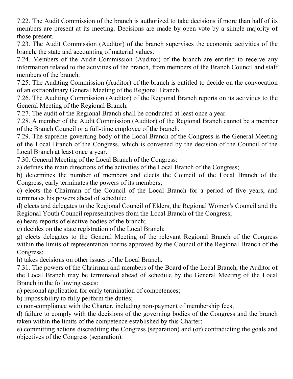7.22. The Audit Commission of the branch is authorized to take decisions if more than half of its members are present at its meeting. Decisions are made by open vote by a simple majority of those present.

7.23. The Audit Commission (Auditor) of the branch supervises the economic activities of the branch, the state and accounting of material values.

7.24. Members of the Audit Commission (Auditor) of the branch are entitled to receive any information related to the activities of the branch, from members of the Branch Council and staff members of the branch.

7.25. The Auditing Commission (Auditor) of the branch is entitled to decide on the convocation of an extraordinary General Meeting of the Regional Branch.

7.26. The Auditing Commission (Auditor) of the Regional Branch reports on its activities to the General Meeting of the Regional Branch.

7.27. The audit of the Regional Branch shall be conducted at least once a year.

7.28. A member of the Audit Commission (Auditor) of the Regional Branch cannot be a member of the Branch Council or a full-time employee of the branch.

7.29. The supreme governing body of the Local Branch of the Congress is the General Meeting of the Local Branch of the Congress, which is convened by the decision of the Council of the Local Branch at least once a year.

7.30. General Meeting of the Local Branch of the Congress:

a) defines the main directions of the activities of the Local Branch of the Congress;

b) determines the number of members and elects the Council of the Local Branch of the Congress, early terminates the powers of its members;

c) elects the Chairman of the Council of the Local Branch for a period of five years, and terminates his powers ahead of schedule;

d) elects and delegates to the Regional Council of Elders, the Regional Women's Council and the Regional Youth Council representatives from the Local Branch of the Congress;

e) hears reports of elective bodies of the branch;

e) decides on the state registration of the Local Branch;

g) elects delegates to the General Meeting of the relevant Regional Branch of the Congress within the limits of representation norms approved by the Council of the Regional Branch of the Congress;

h) takes decisions on other issues of the Local Branch.

7.31. The powers of the Chairman and members of the Board of the Local Branch, the Auditor of the Local Branch may be terminated ahead of schedule by the General Meeting of the Local Branch in the following cases:

a) personal application for early termination of competences;

b) impossibility to fully perform the duties;

c) non-compliance with the Charter, including non-payment of membership fees;

d) failure to comply with the decisions of the governing bodies of the Congress and the branch taken within the limits of the competence established by this Charter;

e) committing actions discrediting the Congress (separation) and (or) contradicting the goals and objectives of the Congress (separation).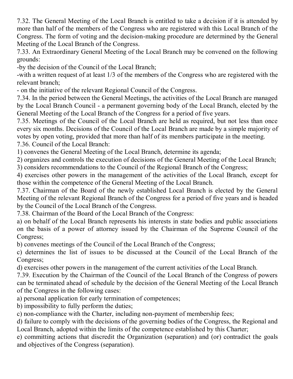7.32. The General Meeting of the Local Branch is entitled to take a decision if it is attended by more than half of the members of the Congress who are registered with this Local Branch of the Congress. The form of voting and the decision-making procedure are determined by the General Meeting of the Local Branch of the Congress.

7.33. An Extraordinary General Meeting of the Local Branch may be convened on the following grounds:

-by the decision of the Council of the Local Branch;

-with a written request of at least 1/3 of the members of the Congress who are registered with the relevant branch;

- on the initiative of the relevant Regional Council of the Congress.

7.34. In the period between the General Meetings, the activities of the Local Branch are managed by the Local Branch Council - a permanent governing body of the Local Branch, elected by the General Meeting of the Local Branch of the Congress for a period of five years.

7.35. Meetings of the Council of the Local Branch are held as required, but not less than once every six months. Decisions of the Council of the Local Branch are made by a simple majority of votes by open voting, provided that more than half of its members participate in the meeting. 7.36. Council of the Local Branch:

1) convenes the General Meeting of the Local Branch, determine its agenda;

2) organizes and controls the execution of decisions of the General Meeting of the Local Branch; 3) considers recommendations to the Council of the Regional Branch of the Congress;

4) exercises other powers in the management of the activities of the Local Branch, except for those within the competence of the General Meeting of the Local Branch.

7.37. Chairman of the Board of the newly established Local Branch is elected by the General Meeting of the relevant Regional Branch of the Congress for a period of five years and is headed by the Council of the Local Branch of the Congress.

7.38. Chairman of the Board of the Local Branch of the Congress:

a) on behalf of the Local Branch represents his interests in state bodies and public associations on the basis of a power of attorney issued by the Chairman of the Supreme Council of the Congress;

b) convenes meetings of the Council of the Local Branch of the Congress;

c) determines the list of issues to be discussed at the Council of the Local Branch of the Congress;

d) exercises other powers in the management of the current activities of the Local Branch.

7.39. Execution by the Chairman of the Council of the Local Branch of the Congress of powers can be terminated ahead of schedule by the decision of the General Meeting of the Local Branch of the Congress in the following cases:

a) personal application for early termination of competences;

b) impossibility to fully perform the duties;

c) non-compliance with the Charter, including non-payment of membership fees;

d) failure to comply with the decisions of the governing bodies of the Congress, the Regional and Local Branch, adopted within the limits of the competence established by this Charter;

e) committing actions that discredit the Organization (separation) and (or) contradict the goals and objectives of the Congress (separation).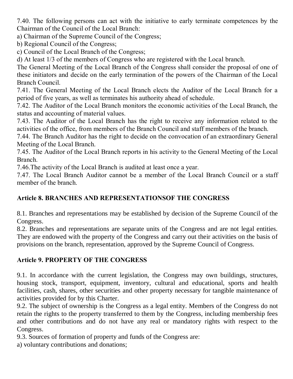7.40. The following persons can act with the initiative to early terminate competences by the Chairman of the Council of the Local Branch:

a) Chairman of the Supreme Council of the Congress;

b) Regional Council of the Congress;

c) Council of the Local Branch of the Congress;

d) At least 1/3 of the members of Congress who are registered with the Local branch.

The General Meeting of the Local Branch of the Congress shall consider the proposal of one of these initiators and decide on the early termination of the powers of the Chairman of the Local Branch Council.

7.41. The General Meeting of the Local Branch elects the Auditor of the Local Branch for a period of five years, as well as terminates his authority ahead of schedule.

7.42. The Auditor of the Local Branch monitors the economic activities of the Local Branch, the status and accounting of material values.

7.43. The Auditor of the Local Branch has the right to receive any information related to the activities of the office, from members of the Branch Council and staff members of the branch.

7.44. The Branch Auditor has the right to decide on the convocation of an extraordinary General Meeting of the Local Branch.

7.45. The Auditor of the Local Branch reports in his activity to the General Meeting of the Local Branch.

7.46.The activity of the Local Branch is audited at least once a year.

7.47. The Local Branch Auditor cannot be a member of the Local Branch Council or a staff member of the branch.

#### **Article 8. BRANCHES AND REPRESENTATIONSOF THE CONGRESS**

8.1. Branches and representations may be established by decision of the Supreme Council of the Congress.

8.2. Branches and representations are separate units of the Congress and are not legal entities. They are endowed with the property of the Congress and carry out their activities on the basis of provisions on the branch, representation, approved by the Supreme Council of Congress.

#### **Article 9. PROPERTY OF THE CONGRESS**

9.1. In accordance with the current legislation, the Congress may own buildings, structures, housing stock, transport, equipment, inventory, cultural and educational, sports and health facilities, cash, shares, other securities and other property necessary for tangible maintenance of activities provided for by this Charter.

9.2. The subject of ownership is the Congress as a legal entity. Members of the Congress do not retain the rights to the property transferred to them by the Congress, including membership fees and other contributions and do not have any real or mandatory rights with respect to the Congress.

9.3. Sources of formation of property and funds of the Congress are:

a) voluntary contributions and donations;